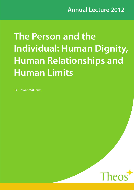# **The Person and the Individual: Human Dignity, Human Relationships and Human Limits**

Dr. Rowan Williams

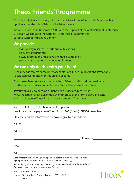# **Theos Friends' Programme**

Theos is a religion and society think tank which seeks to inform and influence public opinion about the role of faith and belief in society.

We were launched in November 2006 with the support of the Archbishop of Canterbury, Dr Rowan Williams and the Cardinal Archbishop of Westminster, Cardinal Cormac Murphy-O'Connor.

### **We provide**

- high-quality research, reports and publications;
- an events programme;
- news, information and analysis to media companies, parliamentarians and other opinion formers.

### **We can only do this with your help!**

Theos Friends receive complimentary copies of all Theos publications, invitations to selected events and monthly email bulletins.

Theos Associates receive all the benefits of Friends and in addition are invited to attend an exclusive annual dinner with the Theos Director and team.

 If you would like to become a Friend or an Associate, please visit www.theosthinktank.co.uk or detach or photocopy the form below, and send it with a cheque to Theos for the relevant amount. Thank you

Yes, I would like to help change public opinion! I enclose a cheque payable to Theos for: **£60** (Friend) **£300** (Associate)

□ Please send me information on how to give by direct debit

|                                                                                                                                                                 | Postcode and the contract of the contract of the contract of the contract of the contract of the contract of the contract of the contract of the contract of the contract of the contract of the contract of the contract of t |
|-----------------------------------------------------------------------------------------------------------------------------------------------------------------|--------------------------------------------------------------------------------------------------------------------------------------------------------------------------------------------------------------------------------|
|                                                                                                                                                                 |                                                                                                                                                                                                                                |
|                                                                                                                                                                 |                                                                                                                                                                                                                                |
| Data Protection Theos will use your personal data to inform you of its activities.<br>If you prefer not to receive this information please tick here. $\square$ |                                                                                                                                                                                                                                |
| By completing you are consenting to receiving communications by telephone and email.<br>Theos will not pass on your details to any third party.                 |                                                                                                                                                                                                                                |
| Please return this form to:<br>Theos   77 Great Peter Street   London   SW1P 2EZ<br>S: 97711 D: 36701                                                           | <b>Theos</b>                                                                                                                                                                                                                   |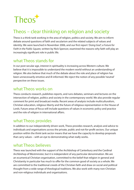

# Theos – clear thinking on religion and society

Theos is a think tank working in the area of religion, politics and society. We aim to inform debate around questions of faith and secularism and the related subjects of values and identity. We were launched in November 2006, and our first report *'Doing God'; a Future for Faith in the Public Square,* written by Nick Spencer, examined the reasons why faith will play an increasingly significant role in public life.

## what Theos stands for

In our post-secular age, interest in spirituality is increasing across Western culture. We believe that it is impossible to understand the modern world without an understanding of religion. We also believe that much of the debate about the role and place of religion has been unnecessarily emotive and ill-informed. We reject the notion of any possible 'neutral' perspective on these issues.

## what Theos works on

Theos conducts research, publishes reports, and runs debates, seminars and lectures on the intersection of religion, politics and society in the contemporary world. We also provide regular comment for print and broadcast media. Recent areas of analysis include multiculturalism, Christian education, religious liberty and the future of religious representation in the House of Lords. Future areas of focus will include questions of values in economic policy and practice and the role of religion in international affairs.

## what Theos provides

In addition to our independently driven work, Theos provides research, analysis and advice to individuals and organisations across the private, public and not-for-profit sectors. Our unique position within the think tank sector means that we have the capacity to develop proposals that carry values – with an eye to demonstrating what really works.

## what Theos believes

Theos was launched with the support of the Archbishop of Canterbury and the Cardinal Archbishop of Westminster, but it is independent of any particular denomination. We are an ecumenical Christian organisation, committed to the belief that religion in general and Christianity in particular has much to offer for the common good of society as a whole. We are committed to the traditional creeds of the Christian faith and draw on social and political thought from a wide range of theological traditions. We also work with many non-Christian and non-religious individuals and organisations.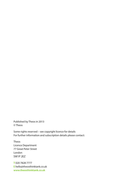Published by Theos in 2013 © Theos

Some rights reserved – see copyright licence for details For further information and subscription details please contact:

Theos Licence Department 77 Great Peter Street London SW1P 2EZ

**T** 020 7828 7777 **E** hello@theosthinktank.co.uk **www.theosthinktank.co.uk**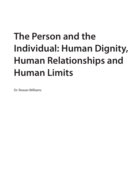# **The Person and the Individual: Human Dignity, Human Relationships and Human Limits**

Dr. Rowan Williams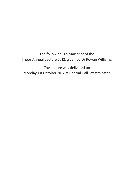The following is a transcript of the Theos Annual Lecture 2012, given by Dr Rowan Williams.

The lecture was delivered on Monday 1st October 2012 at Central Hall, Westminster.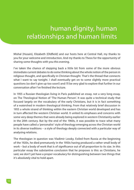# human dignity, human relationships and human limits

Mishal [Husain], Elizabeth [Oldfield] and our hosts here at Central Hall, my thanks to you for your welcome and introduction. And my thanks to Theos for the opportunity of sharing some thoughts with you this evening.

I've taken the chance of stepping back a little bit from some of the more obvious immediate current debates to do some thinking about the whole notion of the person in religious thought, and specifically in Christian thought. That's the thread that connects what I want to say tonight. I shall eventually get on to some slightly more practical questions (so don't give up too soon!) and I'll be very glad to explore that further in our conversation after I've finished the lecture.

In 1955 a Russian theologian living in Paris published an essay, not a very long essay, on The Theological Notion of 'The Human Person'. It was quite a technical study that focused largely on the vocabulary of the early Christians, but it is in fact something of a watershed in modern theological thinking. From that relatively brief discussion in 1955 a whole strand of thinking within the eastern Christian world developed and has in turn affected the western Christian world. It united its emphases and concerns with some very deep themes that were already being explored in western Christianity earlier in the 20th century. But by the end of the 1960s, it was possible to trace what many people have called a 'personalist' style of theology emerging across the Christian world in its diverse traditions – a style of theology deeply connected with a particular way of analysing relations.

The theologian in question was Vladimir Lossky. Exiled from Russia at the beginning of the 1920s, he died prematurely in the 1950s having produced a rather small body of work – but a body of work that is of significance out of all proportion to its size. In this particular essay the substantive conclusion that he proposes is this: as Christians, he said, we don't yet have a proper vocabulary for distinguishing between two things that it's absolutely vital to hold apart.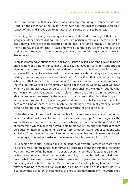Those two things are, first, a subject – which is simply one unique instance of its kind – and, on the other hand, that quality, whatever it is, that makes a conscious thing or subject of this kind 'irreducible to its nature'. Let's pause on this to begin with.

Something that is simply 'one unique instance of its kind' is an object that stands alongside other objects, distinguished by certain particular features. There are a lot of dogs, they all share the characteristic of being dogs, only one of them is Fido, one of them is Rover, and so on. That in itself simply tells you there are lots of examples of this kind of thing. But it doesn't quite do duty when it comes to thinking about what we are like as persons.

There is something about us as conscious agents that doesn't simply boil down to being one example of a kind of thing. That's not to say you have to search for some specific element that makes us personal rather than otherwise – intelligence or freedom or whatever. It's more like an observation that when we talk about being 'a person', we're talking of something about us as a whole that isn't specified, that isn't defined just by listing facts that happen to be true about us. Lossky says that there isn't really a concept that will do this work at all. We simply haven't got the word. We know what we mean when we distinguish between personal and impersonal, and we know roughly what we mean when we talk about persons in relation. But we struggle to pin this down, this idea that somehow we are not to be reduced to our nature, to the things that happen to be true about us. And Lossky says that just as when we try to talk about God, we're left here with a kind of space, a kind of mystery, something we can't really manage in third person descriptive terms. Here's what he says towards the end of his essay:

Under these conditions, it will be impossible for us to form a concept of the human person, and we will have to content ourselves with saying: "person" signifies the irreducibility of man to his nature— "irreducibility" and not "something irreducible" or "something which makes man irreducible to his nature" precisely because it cannot be a question here of "something" distinct from "another nature" but of someone who is distinct from his own nature, of someone who goes beyond his nature while still containing it, who makes it exist as human nature by this overstepping of it.<sup>1</sup>

Third person categories, description at arm's length, don't work. Something more needs to be said. We establish ourselves as human by stepping beyond the bundle of facts that we might use to define humanity in general, even the bundle of facts that distinguish us from another example of the same kind of thing, that might distinguish Fido from Rover. What makes me a person, and what makes me this person rather than another, is not simply a set of facts. Or rather it's the enormous fact of my being here rather than elsewhere, being in these relations with those around me, being a child of these parents, a parent of these children, the friend of x, the not-so-intimate friend of y, the Archbishop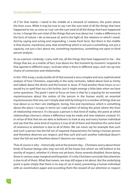of Z for that matter. I stand in the middle of a network of relations, the point where the lines cross. While it may be true to say I am the sum total of all the things that have happened to me, as soon as I say I am the sum total of all the things that have happened to me, I change the sum total of the things that are true about me. I make a difference to the facts of nature. I do so because of, and in the light of, the relations in which I stand. And by saying and acting and responding, I create fresh facts. But there in the middle is that elusive, mysterious area, that something which is not just a something, not just a capacity, not just a fact about me, something mysterious, something not open to third person analysis.

So as a person I embody, I carry with me, all the things that have happened to me – the things that are, as a matter of fact, true about me. But moment by moment I respond to that agenda in different ways, I activate what is there in different ways, and I set up new chains of connection and relationship.

In this 1955 essay, Lossky builds all of that around a very complex and very sophisticated analysis of how Christians, especially in the early centuries, talked about God as trinity and talked about the divine and the human in Jesus. If I had another three hours or so I would try to spell that out a bit further, but it might emerge a little later when we have some questions. The point I want to focus on here is that he is arguing for an essential mysteriousness about the notion of the person in the human world, an essential mysteriousness that one can't simply deal with by listing it in a number of things that are true about us so that I am intelligent, loving, free and mysterious; which is something about the place I occupy in terms (as I said earlier) of being the point where the lines of relationship intersect. It's because a person is that kind of reality, the point at which relationships intersect, where a difference may be made and new relations created. It's in virtue of that that we are able as believers to look at any and every human individual and say that the same kind of mystery is true of all of them and therefore the same kind of reverence or attention is due to all of them. We can never say for example that such and such a person has the full set of required characteristics for being a human person and therefore deserves our respect, and that such and such another individual doesn't have the full set and therefore doesn't deserve our respect.

That of course is why – historically and at the present day – Christians worry about those kinds of human beings who may not tick all the boxes but whom we still believe to be worthy of respect, whether it's those not yet born, those severely disabled, those dying, those in various ways marginal and forgotten. It's why Christians conclude that attention is due to all of them. What that means, we may still argue a lot about. But the underlying point is quite simply that there is no way of, (as it were), presenting a human individual with an examination paper and according them the reward of our attention or respect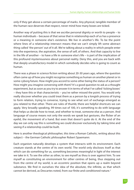only if they get above a certain percentage of marks. Any physical, tangible member of the human race deserves that respect, never mind how many boxes are ticked.

Another way of putting this is that we ascribe personal dignity or worth to people – to human individuals – because of that sense that in relationship each of us has a presence or a meaning in someone else's existence. We live in another's life. To be the point where lines of a relationship intersect means that we can't simply lift some abstract thing called 'the person' out of it all. We're talking about a reality in which people enter into the experience, the aspiration, the sense of self, of others. And that capacity to live in the life of another – to have a life in someone else's life – is part of the implication of this profound mysteriousness about personal reality. Deny this, and you are back with that deeply unsatisfactory model in which somebody decides who is going to count as human.

There was a phase in science fiction writing about 20-30 years ago, where the question often came up of how you might recognise something as human on another planet or in some cyborg future. How might you accord to some other being the status of a person? How might you imagine conversing with them? It's a good question to ask as a thought experiment, but as soon as you try to answer it in terms of what I've called 'ticking boxes' – they have this or that characteristic – you've rather missed the point. You would only really discover whether you could treat them as a person by a longish process of trying to form relation, trying to converse, trying to see what sort of exchange emerged as you related to that other. There are rules of thumb; there are helpful shortcuts we can apply. Very broadly speaking, 99 times out of 100, it's something to do with language that helps us decide how to treat, and whether to treat, someone else as a person. And language of course means not only the words we speak but gestures, the flicker of an eyelid, the movement of a hand. But even that doesn't quite do it. At the end of the day we can only say this is something we could discover exclusively by taking time and seeing if a relationship could be built.

Here is another theological philosopher, this time a Roman Catholic, writing about this subject – the German Catholic philosopher Robert Spaemann:

Each organism naturally develops a system that interacts with its environment. Each creature stands at the centre of its own world. The world only discloses itself as that which can do something for us, something becomes meaningful in light of the interest we take in it. To see the other as other, to see myself as thou is over against him. To see myself as constituting an environment for other centres of being, thus stepping out from the centre of my world, is an eccentric position that opens up a realm beyond substance. We find in ourselves the idea of the absolute, the infinite, as that which cannot be derived, as Descartes noted, from our finite and conditioned nature.2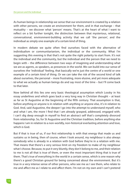As human beings in relationship we sense that our environment is created by a relation with other persons, we create an environment for them, and in that exchange – that mutuality – we discover what 'person' means. That's at the heart of what I want to reflect on a bit further tonight, the distinction between that mysterious, relational, conversational, environment-building activity that we call 'the person', and the individual as simply one example of a certain kind of thing.

In modern debate we quite often find ourselves faced with the alternative of individualism or communitarianism, the individual or the community. What I'm suggesting this evening is that that's not quite the right polarity to start from. It's not the individual and the community, but the individual and the person that we need to begin with – the difference between two ways of imagining and understanding what we are as agents, as speakers, as presences in the world. We can build into our sense of ourselves the 'individual' feeling, that basically we're just the centre of a world or one example of a certain kind of thing. Or we can take the risk of the second kind of talk about ourselves, the personal – more frustrating, more elusive, and yet more adequate to what we actually as human beings do and say most of the time – but I'll come back to that later.

Now behind all this lies one very basic theological assumption which Lossky in his essay underlines and which goes back a very long way in Christian thought – at least as far as St Augustine at the beginning of the fifth century. That assumption is that, before anything or anyone is in relation with anything or anyone else, it's in relation to God. And, said Augustine, the deeper I go into the attempt to understand myself, who and what I am, the more I find that I am already grasped, addressed, engaged with. I can't dig deep enough in myself to find an abstract self that's completely divorced from relationship. So, for St Augustine and the Christian tradition, before anything else happens I am in relation to a non-worldly, non-historical everlasting attention and love, which is God.

But if that is true of us, if our first relationship is with that energy that made us and sustains us in being, then of course, when I look around, my neighbour is also always somebody who is already in a relation with God before they're in a relation with me. That means that there's a very serious limit on my freedom to make of my neighbour what I choose. Because, to put it very bluntly, they don't belong to me, and their relation to me is not all that is true of them, or even the most important thing that is true of them. That's true of everything in the world in a certain sense, which is one reason why there's a good Christian ground for being concerned about the environment. But it's true in a very intense sense of other persons, who see me as I see them, who relate to me and affect me as I relate to and affect them. I'm not on my own and I can't pretend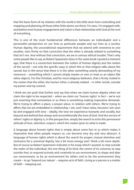that the basic form of my relation with the world is this little atom here controlling and mapping and planning all those other little atoms out there. I'm seen, I'm engaged with, and before even human engagement and vision is that relationship with God at the root of everything.

This is one of the most fundamental differences between an individualist and a personalist perspective on our lives as particular people and our lives as a society. Human dignity, the unconditional requirement that we attend with reverence to one another, rests firmly on that conviction that the other is already related to something that isn't me. And without that conviction, we are in serious ethical trouble. That's why some people like to say, as Robert Spaemann does in the same book I quoted a moment ago, that there is a connection between the notion of human dignity and the notion of the sacred – not only the specific ways in which this or that religion talks about the sacred, but in the sense that there is in the other something utterly demanding of my reverence – something which I cannot simply master or own or treat as an object like other objects. For the Christian, and for most religious believers, that is firmly rooted in the notion that the other, the human other, is already related – in other words, outside my power and my control.

I think we can push that further and say that when we claim human dignity when we claim the right to be respected – when we claim our 'human rights' in fact – we're not just asserting that somewhere in us there is something making imperative demands. We're trying to affirm a place, a proper place, in relation with others. We're trying to affirm that we are embedded in relationship. I am, and I have value, because I am seen by and engaged with love – ideally, the love we experience humanly and socially, but beyond and behind that always and unconditionally the love of God. And the service of others' rights or dignity is, in this perspective, simply the search to echo this permanent attitude of love, attention, respect, which the creator gives to what is made.

A language about human rights that is simply about some fact in us which makes it imperative that other people respect us, can become very dry and very abstract. A language of human rights which is about the search for proper, mutual attention and reverence for a universal dignity, has a bit more energy and I think a bit more depth. But of course as Robert Spaemann indicates in his essay which I quoted, to step outside the realm of the individual, the one thing of its kind, the centre of its universe; to step outside that, to respond actively and creatively to our environment, to shape and alter our environment, to be an environment for others and to be the environment they create – to go 'beyond our nature' – requires acts of faith. Living as a person is a matter of faith – stepping out.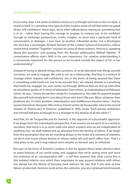It's in many ways a lot easier to believe and to act as though each was in fact an atom, a world to itself. It's somehow very typical of the modern sense of self that when we speak about 'self confidence' these days, we're often talking about relying on something that is in us – rather than having the courage to engage, to venture out, to be confident enough to exchange perspectives, truths, insights, to move into a particular kind of conversation or dialogue. I turn here to another influential writer, not a theologian this time but a sociologist, Richard Sennett of the London School of Economics, whose recent book entitled "Together" touches on some of these matters. Here he is, speaking about this question, and quoting from the Russian philosopher Mikhail Bakhtin: "A conversation affirms man's faith in his own experience. For creative understanding it is immensely important for the person to be located outside the object of his or her understanding".3

Instead of trying to absorb things into ourselves, or to be absorbed into things outside ourselves, we seek to engage. We seek to set up a relationship. And that is a venture of courage which requires self-confidence, not in the terms of being assured that there is something solid inside me, but to be assured that I am related already to something that holds me, engages me, and carries me through. Without that we end up with what he elsewhere speaks of in terms of alienation from others, an individualised withdrawal, which, he says, "seems the perfect recipe for complacency. You take for granted people like yourself and simply don't care about those who aren't like you. More, whatever their problems are, it's their problem. Individualism and indifference become twins." And he quotes there from the great 19th century French writer, de Tocqueville, who in his second volume of "Democracy In America", published in 1840, wrote "Each person withdrawn into himself behaves as though he is a stranger to the destiny of all the others".4

And that, for de Tocqueville and for Sennett, is the opposite of a personalist approach. If we begin from the individualist perspective, if we assume we are each of us a world to ourselves, that there is in us some solid core which sustains who we are independent of anything else, we shall indeed end up alienated from the destiny of others. If we begin from the assumption that we are standing always in the midst of a network of relations, we don't ever know whose destiny or whose reality will and won't affect ours. That's a risky place to be, and it may indeed seem simpler, as Sennett says, to withdraw.

But part of the force of Sennett's analysis is that he applies these rather abstract ideas to some features of our world today, and suggests that we're seeing more and more the evolution of an 'uncooperative self' – a self that assumes that what comes first is this isolated interior core which then negotiates its way around relations with others but always has the liberty of hurrying back indoors. He says that if you look at how labour, production, business work across the centuries, you see a gradual trend towards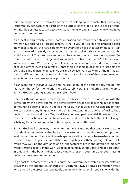this non-cooperative self, away from a sense of belonging with each other and taking responsibility for each other. Part of the purpose of this book, and indeed of other writings by Sennett, is to ask exactly what has gone wrong and exactly how might we get around it or rethink it.

An aspect of this, which Sennett notes in passing and which other philosophers and writers have observed at greater length, is that if you do still take for granted a basic individualist model, the hard core to which everything has got to accommodate itself, you drift towards a steady expectation that the best relationship you can be in to the world is control. The best place to be is a place where you can never be surprised. We want to control what's strange, and we want to control what doesn't fall under our immediate power. We're uneasy with limits that we can't get beyond because limits, of course, of whatever kind, remind us that there are some things that are just going to be strange and difficult wherever we are and however hard we work at them. This can show itself in our corporate unease with limits, our exploitation of the environment, our expectation of an endless spiral of prosperity.

It can manifest in individual ways and the aspiration for the perfect body, the perfect marriage, the perfect home and the perfect job. Here is a modern psychotherapist, Patricia Gosling, writing about this in a recent book:

One sees [this notion of perfection and perfectibility] in the current obsession with the perfect body, the perfect home, the perfect lifestyle. One sees it getting out of control in mounting personal debt, in anorexia nervosa, in that slogan of Gestalt Theory that 'we can become anything we want to be'. Not true; and in that denial of reality lies a denial of our biological roots. Yes, we all have undeveloped potential. However it is also true that we each have our limitations, innate and circumstantial. The skill of living a satisfying life lies in using the transitional space between the two.<sup>5</sup>

Patricia Gosling, like so many other writers in the analytic and therapeutic world wants to underline the problems that face us if we assume that the ideal relationship to our environment is control, moving towards a perfect static situation where we have nothing to lose, to fear, or to gain. Behind all that is an impatience with the passage of time itself, which may well be thought of as one of the factors of life in the developed modern world. Personal reality, in the way I've been defining it, unfolds itself and declares itself in time and in the body. Individualist awareness resents both time and body, resents unfinishedness, resents limitation.

To go back for a moment to Richard Sennett: he's written extensively on the interrelation between all this and the loss of craft skills. Learning slowly by physical limitation over a long time, by the process of repeatedly engaging with material – you can only do that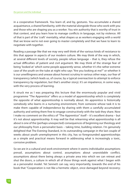in a cooperative framework. You learn of, and by, gestures. You accumulate a shared acquaintance, a shared familiarity, with the material alongside those who work with you and those who are shaping you as a worker. You win authority that is worthy of trust in that context, and you learn how to manage conflicts in language, not by violence. All of that is part of the 'craft' mentality, what shapes us as workers engaging with a world that we know we're not ever going to master completely and that we have to learn to negotiate with together.

Reading a passage like that we may very well think of the various kinds of resistance to this that appear in aspects of our modern culture. We may think of the way in which, at several different levels of society, people refuse language – that is, they refuse the actual difficulties of patient and civil argument. We may think of the strange fear of being 'looked at' which some people apparently sense, whether it's the rather extreme case of the youth on the tube at night who says "Are you looking at me?" or whether it is our unwillingness and unease about honest scrutiny in various other ways, our fear of transparency (which leads us, of course, by a typical overreaction to attempt to enforce transparency by regulation, but that's another story). It's an impatience, in some ways, with the very process of learning.

It struck me as I was preparing this lecture that the enormously popular and vivid programme "The Apprentice" offers us a model of apprenticeship which is completely the opposite of what apprenticeship is normally about. An apprentice is historically somebody who learns in a nurturing environment, from someone whose task it is to make them capable of independence by sharing with them a carefully accumulated authority and setting them free to engage constructively with the task they share. Now I make no comment on the ethics of "The Apprentice" itself – it's excellent drama – but it's not about apprenticeship. It may well be that relearning what apprenticeship is all about is one of the (perhaps unexpected) consequences of beginning our theology and our philosophy from a personalist basis – taking time, building relation. I'm genuinely delighted that The Evening Standard, in its outstanding campaign in the last couple of weeks about youth unemployment in this city, has so foregrounded apprenticeships as a simple and practical means forward in addressing what is increasingly a toxic, corrosive problem.

So we are in a cultural and work environment where it seems individualist assumptions prevail, assumptions about control, assumptions about unavoidable conflict, assumptions about there being always a private area into which we can retreat and shut the doors, a culture in which all of those things work against what I began with as a personalist model. Yet Sennett can say, very importantly, towards the end of his book that "Cooperation is not like a hermetic object, once damaged beyond recovery;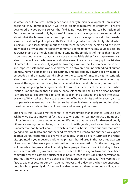as we've seen, its sources – both genetic and in early human development – are instead enduring; they admit repair.<sup>6</sup> If we live in an uncooperative environment, if we've developed uncooperative selves, the field is not lost. Something can be reclaimed. But it can be reclaimed only by a careful, systematic challenge to those assumptions about what the human is which so imprison us  $-$  a challenge to our (in the broader sense) educational philosophies. That's a challenge which needs clarity about what a person is and isn't; clarity about the difference between the person and the mere individual; clarity about the capacity of human agents to do what my sources describe as transcending the merely natural, transcending the simple list of things that happen to be true about me. And that clarity is not easily available either for a simply materialist view of human life – the human individual as a machine – or for a purely spiritualist view of human life – human identity is just the sovereign iron will that lives somewhere in here and imposes itself on the world. Somewhere in between is an understanding of human identity, human personality, as fascinatingly and inescapably a hybrid reality: material embedded in the material world, subject to the passage of time, and yet mysteriously able to respond to its environment so as to make a different environment; able to go beyond the agenda that is set, to reshape what is around; above all, committed to receiving and giving, to being dependent as well as independent, because that's what relation is about. I'm neither a machine nor a self-contained soul. I'm a person because I am spoken to, I'm attended to, and I'm spoken and attended and loved into actual existence. Which takes us back to the question of human dignity and the sacred, and to that pervasive, mysterious, nagging sense that there is always already something about the other person related to what I can't see and haven't yet mastered.

But, finally, this is all, as a matter of fact, a lot more simple than it sounds. Because if we ask how we do, as a matter of fact, relate to one another, we may notice a number of things. We relate to one another as bodies. We notice that there is a fundamental bodily difference among human beings that has to do with gender, and we notice there's a fundamental bodily fact about us which is that our bodies wear out and that we're going to die. We talk to one another and we expect to listen to one another. We expect, in other words, relationship to evolve in language. I should be very surprised and rather disappointed if you repeated back to me phrases that I'd used in the last three quarters of an hour as if that were your contribution to our conversation. On the contrary, you will probably disagree and will certainly have perspectives you want to bring to bear, and I am committed by my presence here to listen to those, as you, I'm afraid, have been committed for the last three quarters of an hour to listen to my side of the conversation. But this is how we behave. We behave as if relationship mattered, as if we were not, in fact, capable of setting our own agenda forever and a day. And when we encounter people who apparently don't behave like that we regard them as, to put it mildly, a bit problematic.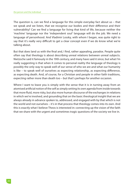The question is, can we find a language for this simple everyday fact about us – that we speak and we listen, that we recognise our bodies and their difference and their vulnerability? Can we find a language for living that kind of life, because neither the 'machine' language nor the 'independent soul' language will do the job. We need a language of personhood. And Vladimir Lossky, with whom I began, was quite right to say that it's really very difficult to get a clear concept even if we do know what we're talking about.

But that does land us with the final and, I find, rather appealing, paradox. People quite often say that theology is about describing unreal relations between unreal subjects. Nietzsche said it famously in the 19th century, and many have said it since, but what I'm really suggesting is that when it comes to personal reality the language of theology is possibly the only way to speak well of our sense of who we are and what our humanity is like – to speak well of ourselves as expecting relationship, as expecting difference, as expecting death. And, of course, for a Christian and people in other faith traditions, expecting rather more than death too – but that's perhaps for another occasion.

Where I want to leave you is simply with the sense that it is in turning away from an atomised artificial notion of the self as simply setting its own agenda from inside towards that more fluid, more risky, but also more human discourse of the exchanges in relations in which we're involved, and grounding that on the basic theological insight that we are always already in advance spoken to, addressed, and engaged with by that which is not the world and not ourselves – it's in that process that theology comes into its own. And this is exactly what I believe Theos is interested in: connecting up the vision of the faith that we share with the urgent and sometimes tragic questions of the society we live in.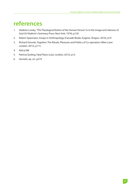# **references**

- 1. Vladimir Lossky, "The Theological Notion of the Human Person" in In the Image and Likeness of God (St Vladimir's Seminary Press: New York, 1974), p120
- 2. Robert Spaemann, Essays in Anthropology (Cascade Books, Eugene, Oregon, 2010), p19
- 3. Richard Sennett, Together: The Rituals, Pleasures and Politics of Co-operation (Allen Lane: London, 2012), p115
- 4. Ibid p188
- 5. Patricia Gosling, Fatal Flaws (Lulu: London, 2012), p12
- 6. Sennett, op. cit., p219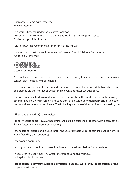Open access. Some rights reserved **Policy Statement**

This work is licenced under the Creative Commons Attribution – noncommercial – No Derivative Works 2.5 Licence (the 'Licence'). To view a copy of this licence:

• visit http://creativecommons.org/licenses/by-nc-nd/2.5/

• or send a letter to Creative Commons, 543 Howard Street, 5th Floor, San Francisco, California, 94105, USA.



creativecommons.org

As a publisher of this work, Theos has an open access policy that enables anyone to access our content electronically without charge.

Please read and consider the terms and conditions set out in the licence, details or which can be obtained via the Internet or post at the relevant addresses set out above.

Users are welcome to download, save, perform or distribtue this work electronically or in any other format, including in foreign language translation, without written permission subject to the conditions set out in the Licence. The following are some of the conditions imposed by the Licence:

- Theos and the author(s) are credited;
- Theos'website address (www.theosthinktank.co.uk) is published together with a copy of this Policy Statement in a prominent position;
- the text is not altered and is used in full (the use of extracts under existing fair usage rights is not affected by this condition);
- the work is not resold;
- a copy of the work or link to use online is sent to the address below for our archive.

Theos, Licence Department, 77 Great Peter Street, London SW1P 2EZ hello@theosthinktank.co.uk

**Please contact us if you would like permission to use this work for purposes outside of the scope of the Licence.**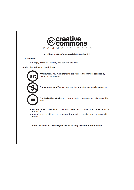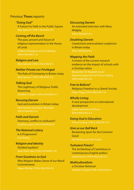#### Previous **Theos** reports:

*"Doing God"* A Future For Faith in the Public Square

#### *Coming off the Bench*

The past, present and future of religious representation in the House of Lords Andrew Partington and Paul Bickley 978-0-9554453-1-6

*Religion and Law*

#### *Neither Private nor Privileged*

The Role of Christianity in Britain today

#### *Talking God*

The Legitimacy of Religious Public Reasoning

#### *Rescuing Darwin*

God and evolution in Britain today 978-0-9554453-5-4

#### *Faith and Darwin*

Harmony, conflict or confusion?

*The National Lottery* Is it Progressive? Paul Bickley

*Religion and Identity* Divided loyalties?

*From Goodness to God* Why Religion Makes Sense of our Moral **Commitments** Angus Ritchie | 978-0-9562182-9-2

#### *Discussing Darwin*

An extended interview with Mary **Midgley** 978-0-9554453-9-2

#### *Doubting Darwin*

Creationism and evolution scepticism in Britain today 978-0-9554453-8-5

#### *Mapping the Field:*

A review of the current research evidence on the impact of schools with a Christian ethos 978-0-9562182-0-9

#### *Free to Believe?*

Religious Freedom in a Liberal Society

#### *Wholly Living:*

A new perspective on international development Cafod, Tearfund and Theos 978-0-9562182-2-3

*Doing God in Education*

#### *Give us our Ball Back* Reclaiming Sport for the Common Good Paul Bickley and Sam Tomlin

*Turbulent Priests?* The Archbishop of Canterbury in contemporary English politics

*Multiculturalism:* a Christian Retrieval